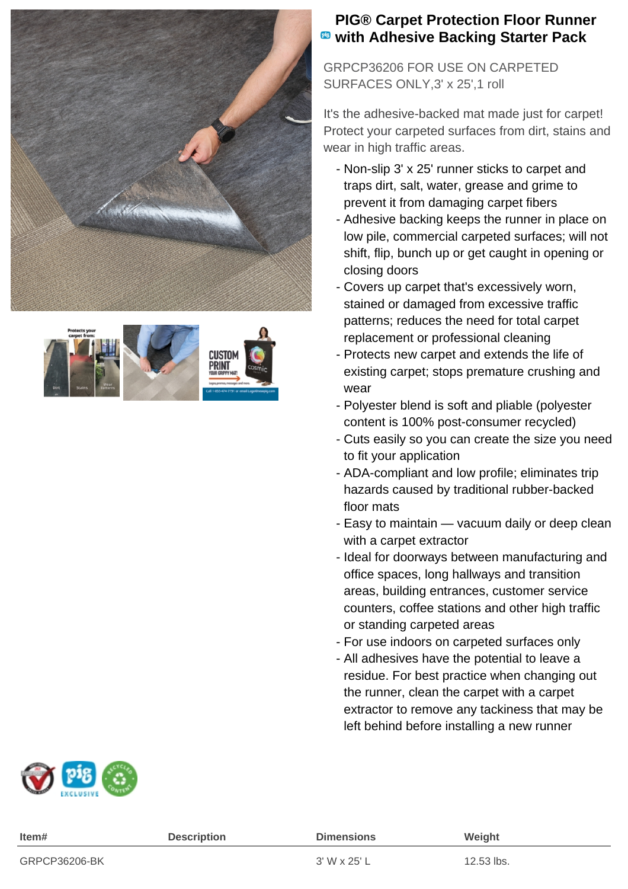



## **PIG® Carpet Protection Floor Runner with Adhesive Backing Starter Pack**

GRPCP36206 FOR USE ON CARPETED SURFACES ONLY,3' x 25',1 roll

It's the adhesive-backed mat made just for carpet! Protect your carpeted surfaces from dirt, stains and wear in high traffic areas.

- Non-slip 3' x 25' runner sticks to carpet and traps dirt, salt, water, grease and grime to prevent it from damaging carpet fibers
- Adhesive backing keeps the runner in place on low pile, commercial carpeted surfaces; will not shift, flip, bunch up or get caught in opening or closing doors
- Covers up carpet that's excessively worn, stained or damaged from excessive traffic patterns; reduces the need for total carpet replacement or professional cleaning
- Protects new carpet and extends the life of existing carpet; stops premature crushing and wear
- Polyester blend is soft and pliable (polyester content is 100% post-consumer recycled)
- Cuts easily so you can create the size you need to fit your application
- ADA-compliant and low profile; eliminates trip hazards caused by traditional rubber-backed floor mats
- Easy to maintain vacuum daily or deep clean with a carpet extractor
- Ideal for doorways between manufacturing and office spaces, long hallways and transition areas, building entrances, customer service counters, coffee stations and other high traffic or standing carpeted areas
- For use indoors on carpeted surfaces only
- All adhesives have the potential to leave a residue. For best practice when changing out the runner, clean the carpet with a carpet extractor to remove any tackiness that may be left behind before installing a new runner



| Item#         | <b>Description</b> | <b>Dimensions</b> | Weight     |
|---------------|--------------------|-------------------|------------|
| GRPCP36206-BK |                    | 3' W x 25' L      | 12.53 lbs. |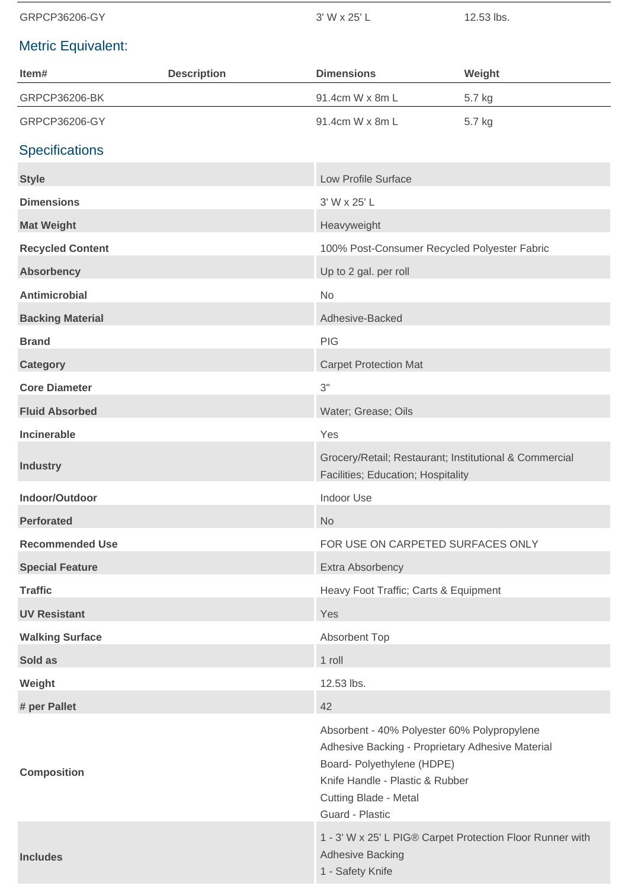GRPCP36206-GY 3' W x 25' L 12.53 lbs.

## Metric Equivalent:

| Item#                   | <b>Description</b> | <b>Dimensions</b>                                                                                                                                                                                                   | Weight |
|-------------------------|--------------------|---------------------------------------------------------------------------------------------------------------------------------------------------------------------------------------------------------------------|--------|
| GRPCP36206-BK           |                    | 91.4cm W x 8m L                                                                                                                                                                                                     | 5.7 kg |
| GRPCP36206-GY           |                    | 91.4cm W x 8m L                                                                                                                                                                                                     | 5.7 kg |
| <b>Specifications</b>   |                    |                                                                                                                                                                                                                     |        |
| <b>Style</b>            |                    | Low Profile Surface                                                                                                                                                                                                 |        |
| <b>Dimensions</b>       |                    | 3' W x 25' L                                                                                                                                                                                                        |        |
| <b>Mat Weight</b>       |                    | Heavyweight                                                                                                                                                                                                         |        |
| <b>Recycled Content</b> |                    | 100% Post-Consumer Recycled Polyester Fabric                                                                                                                                                                        |        |
| <b>Absorbency</b>       |                    | Up to 2 gal. per roll                                                                                                                                                                                               |        |
| <b>Antimicrobial</b>    |                    | No                                                                                                                                                                                                                  |        |
| <b>Backing Material</b> |                    | Adhesive-Backed                                                                                                                                                                                                     |        |
| <b>Brand</b>            |                    | <b>PIG</b>                                                                                                                                                                                                          |        |
| <b>Category</b>         |                    | <b>Carpet Protection Mat</b>                                                                                                                                                                                        |        |
| <b>Core Diameter</b>    |                    | 3"                                                                                                                                                                                                                  |        |
| <b>Fluid Absorbed</b>   |                    | Water; Grease; Oils                                                                                                                                                                                                 |        |
| <b>Incinerable</b>      |                    | Yes                                                                                                                                                                                                                 |        |
| <b>Industry</b>         |                    | Grocery/Retail; Restaurant; Institutional & Commercial<br>Facilities; Education; Hospitality                                                                                                                        |        |
| Indoor/Outdoor          |                    | <b>Indoor Use</b>                                                                                                                                                                                                   |        |
| <b>Perforated</b>       |                    | <b>No</b>                                                                                                                                                                                                           |        |
| <b>Recommended Use</b>  |                    | FOR USE ON CARPETED SURFACES ONLY                                                                                                                                                                                   |        |
| <b>Special Feature</b>  |                    | Extra Absorbency                                                                                                                                                                                                    |        |
| <b>Traffic</b>          |                    | Heavy Foot Traffic; Carts & Equipment                                                                                                                                                                               |        |
| <b>UV Resistant</b>     |                    | Yes                                                                                                                                                                                                                 |        |
| <b>Walking Surface</b>  |                    | Absorbent Top                                                                                                                                                                                                       |        |
| Sold as                 |                    | 1 roll                                                                                                                                                                                                              |        |
| Weight                  |                    | 12.53 lbs.                                                                                                                                                                                                          |        |
| # per Pallet            |                    | 42                                                                                                                                                                                                                  |        |
| <b>Composition</b>      |                    | Absorbent - 40% Polyester 60% Polypropylene<br>Adhesive Backing - Proprietary Adhesive Material<br>Board- Polyethylene (HDPE)<br>Knife Handle - Plastic & Rubber<br><b>Cutting Blade - Metal</b><br>Guard - Plastic |        |
| <b>Includes</b>         |                    | 1 - 3' W x 25' L PIG® Carpet Protection Floor Runner with<br><b>Adhesive Backing</b><br>1 - Safety Knife                                                                                                            |        |